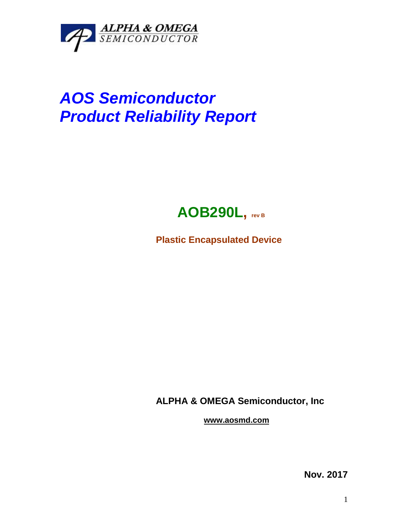

## *AOS Semiconductor Product Reliability Report*



**Plastic Encapsulated Device**

**ALPHA & OMEGA Semiconductor, Inc**

**www.aosmd.com**

**Nov. 2017**